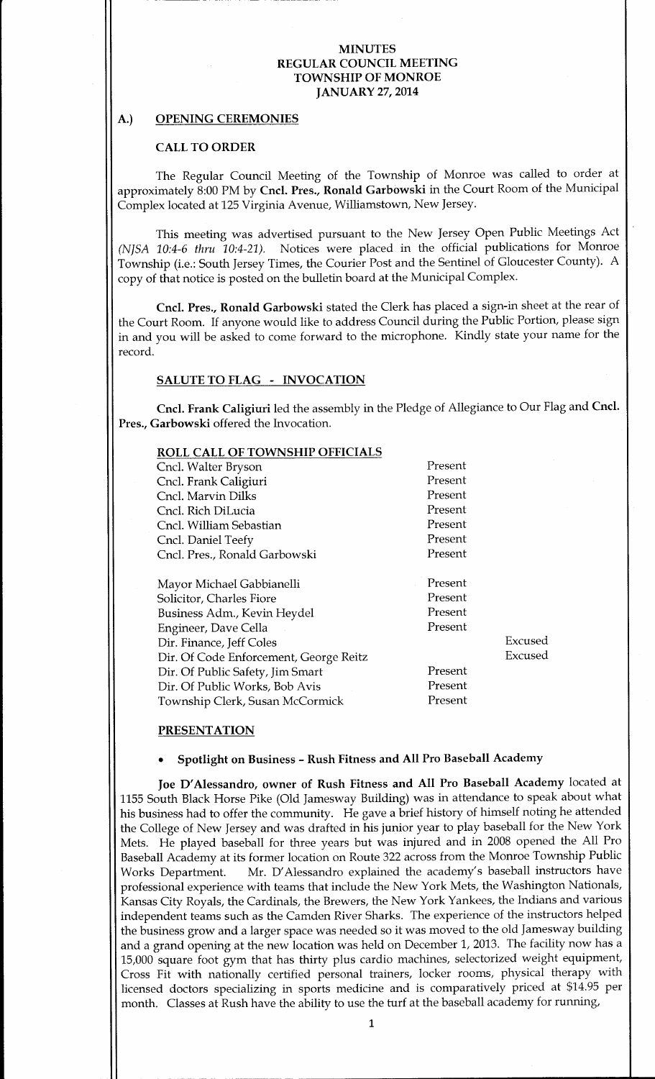# A.) OPENING CEREMONIES

#### CALL TO ORDER

The Regular Council Meeting of the Township of Monroe was called to order at approximately 8:00 PM by Cncl. Pres., Ronald Garbowski in the Court Room of the Municipal Complex located at 125 Virginia Avenue, Williamstown, New Jersey.

This meeting was advertised pursuant to the New Jersey Open Public Meetings Act (NISA 10:4-6 thru  $10:4-21$ ). Notices were placed in the official publications for Monroe Township (i.e.: South Jersey Times, the Courier Post and the Sentinel of Gloucester County). <sup>A</sup> copy of that notice is posted on the bulletin board at the Municipal Complex.

Cncl. Pres., Ronald Garbowski stated the Clerk has placed a sign-in sheet at the rear of the Court Room. If anyone would like to address Council during the Public Portion, please sign in and you will be asked to come forward to the microphone. Kindly state your name for the record.

# SALUTE TO FLAG - INVOCATION

Cncl. Frank Caligiuri led the assembly in the Pledge of Allegiance to Our Flag and Cncl. Pres., Garbowski offered the Invocation.

| <b>ROLL CALL OF TOWNSHIP OFFICIALS</b> |         |         |
|----------------------------------------|---------|---------|
| Cncl. Walter Bryson                    | Present |         |
| Cncl. Frank Caligiuri                  | Present |         |
| Cncl. Marvin Dilks                     | Present |         |
| Cncl. Rich DiLucia                     | Present |         |
| Cncl. William Sebastian                | Present |         |
| Cncl. Daniel Teefy                     | Present |         |
| Cncl. Pres., Ronald Garbowski          | Present |         |
|                                        |         |         |
| Mayor Michael Gabbianelli              | Present |         |
| Solicitor, Charles Fiore               | Present |         |
| Business Adm., Kevin Heydel            | Present |         |
| Engineer, Dave Cella                   | Present |         |
| Dir. Finance, Jeff Coles               |         | Excused |
| Dir. Of Code Enforcement, George Reitz |         | Excused |
| Dir. Of Public Safety, Jim Smart       | Present |         |
| Dir. Of Public Works, Bob Avis         | Present |         |
| Township Clerk, Susan McCormick        | Present |         |
|                                        |         |         |

## PRESENTATION

# Spotlight on Business - Rush Fitness and All Pro Baseball Academy

Joe D'Alessandro, owner of Rush Fitness and All Pro Baseball Academy located at 1155 South Black Horse Pike ( Old Jamesway Building) was in attendance to speak about what his business had to offer the community. He gave <sup>a</sup> brief history of himself noting he attended the College of New Jersey and was drafted in his junior year to play baseball for the New York Mets. He played baseball for three years but was injured and in 2008 opened the All Pro Baseball Academy at its former location on Route 322 across from the Monroe Township Public<br>Works Department. Mr. D'Alessandro explained the academy's baseball instructors have Mr. D'Alessandro explained the academy's baseball instructors have professional experience with teams that include the New York Mets, the Washington Nationals, Kansas City Royals, the Cardinals, the Brewers, the New York Yankees, the Indians and various independent teams such as the Camden River Sharks. The experience of the instructors helped the business grow and <sup>a</sup> larger space was needed so it was moved to the old Jamesway building and <sup>a</sup> grand opening at the new location was held on December 1, 2013. The facility now has a 15,000 square foot gym that has thirty plus cardio machines, selectorized weight equipment, Cross Fit with nationally certified personal trainers, locker rooms, physical therapy with licensed doctors specializing in sports medicine and is comparatively priced at \$14.95 per month. Classes at Rush have the ability to use the turf at the baseball academy for running,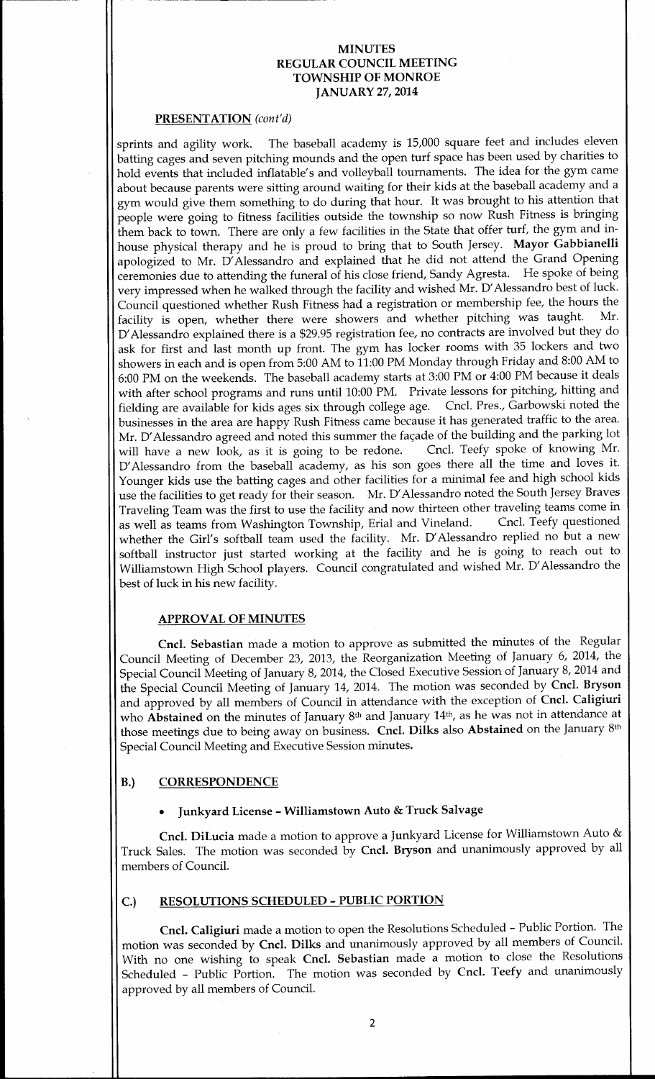#### PRESENTATION (cont'd)

sprints and agility work. The baseball academy is 15, <sup>000</sup> square feet and includes eleven batting cages and seven pitching mounds and the open turf space has been used by charities to hold events that included inflatable's and volleyball tournaments. The idea for the gym came about because parents were sitting around waiting for their kids at the baseball academy and <sup>a</sup> gym would give them something to do during that hour. It was brought to his attention that people were going to fitness facilities outside the township so now Rush Fitness is bringing them back to town. There are only a few facilities in the State that offer turf, the gym and inhouse physical therapy and he is proud to bring that to South Jersey. Mayor Gabbianelli apologized to Mr. D'Alessandro and explained that he did not attend the Grand Opening ceremonies due to attending the funeral of his close friend, Sandy Agresta. He spoke of being very impressed when he walked through the facility and wished Mr. D'Alessandro best of luck. Council questioned whether Rush Fitness had a registration or membership fee, the hours the<br>facility is onen, whether there were showers and whether pitching was taught. Mr. facility is open, whether there were showers and whether pitching was taught. D'Alessandro explained there is a \$29.95 registration fee, no contracts are involved but they do ask for first and last month up front. The gym has locker rooms with 35 lockers and two showers in each and is open from 5:00 AM to  $11:00$  PM Monday through Friday and 8:00 AM to 6:00 PM on the weekends. The baseball academy starts at 3:00 PM or 4:00 PM because it deals with after school programs and runs until 10:00 PM. Private lessons for pitching, hitting and<br>fielding are available for kids ages six through college age. Cncl. Pres., Garbowski noted the fielding are available for kids ages six through college age. businesses in the area are happy Rush Fitness came because it has generated traffic to the area. Mr. D'Alessandro agreed and noted this summer the façade of the building and the parking lot will have a new look, as it is going to be redone. Cncl. Teefy spoke of knowing Mr. will have a new look, as it is going to be redone. D' Alessandro from the baseball academy, as his son goes there all the time and loves it. Younger kids use the batting cages and other facilities for a minimal fee and high school kids use the facilities to get ready for their season. Mr. D' Alessandro noted the South Jersey Braves Traveling Team was the first to use the facility and now thirteen other traveling teams come in as well as teams from Washington Township, Erial and Vineland. whether the Girl's softball team used the facility. Mr. D'Alessandro replied no but a new softball instructor just started working at the facility and he is going to reach out to Williamstown High School players. Council congratulated and wished Mr. D' Alessandro the best of luck in his new facility.

#### APPROVAL OF MINUTES

Cncl. Sebastian made a motion to approve as submitted the minutes of the Regular Council Meeting of December 23, 2013, the Reorganization Meeting of January 6, 2014, the Special Council Meeting of January 8, 2014, the Closed Executive Session of January 8, 2014 and the Special Council Meeting of January 14, 2014. The motion was seconded by Cncl. Bryson and approved by all members of Council in attendance with the exception of Cncl. Caligiuri who **Abstained** on the minutes of January 8<sup>th</sup> and January 14<sup>th</sup>, as he was not in attendance at those meetings due to being away on business. Cncl. Dilks also Abstained on the January 8th Special Council Meeting and Executive Session minutes.

# B.) CORRESPONDENCE

# Junkyard License- Williamstown Auto & Truck Salvage

Cncl. DiLucia made <sup>a</sup> motion to approve a Junkyard License for Williamstown Auto & Truck Sales. The motion was seconded by Cncl. Bryson and unanimously approved by all members of Council.

# C.) RESOLUTIONS SCHEDULED- PUBLIC PORTION

Cncl. Caligiuri made <sup>a</sup> motion to open the Resolutions Scheduled- Public Portion. The motion was seconded by Cncl. Dilks and unanimously approved by all members of Council. With no one wishing to speak Cncl. Sebastian made a motion to close the Resolutions Scheduled - Public Portion. The motion was seconded by Cncl. Teefy and unanimously approved by all members of Council.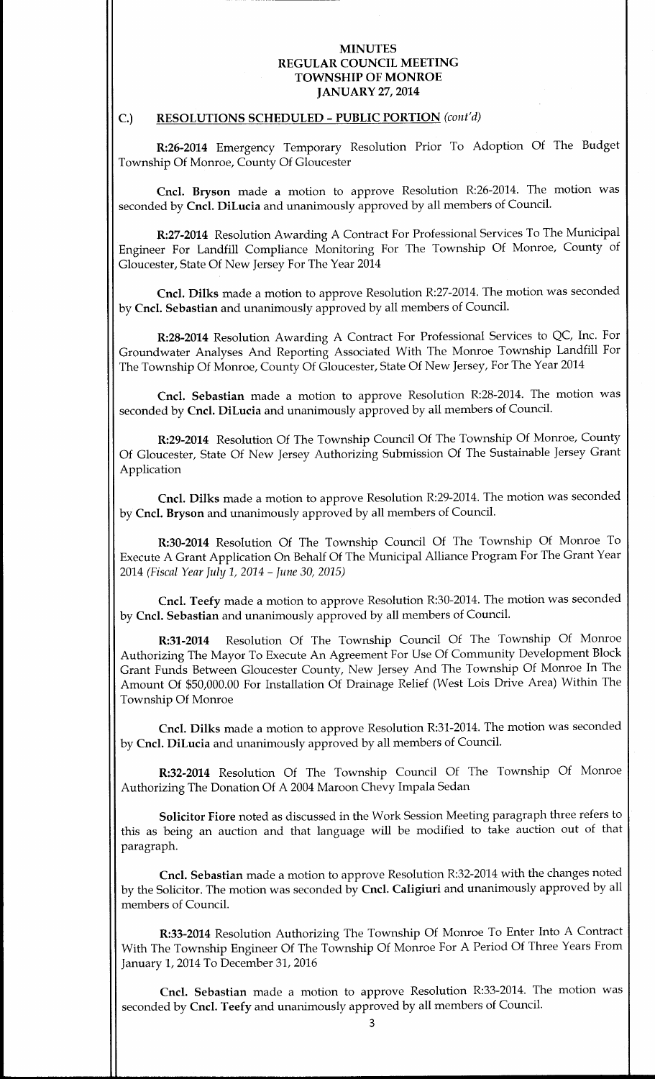# C.) RESOLUTIONS SCHEDULED - PUBLIC PORTION (cont'd)

R:26-2014 Emergency Temporary Resolution Prior To Adoption Of The Budget Township Of Monroe, County Of Gloucester

Cncl. Bryson made a motion to approve Resolution R:26-2014. The motion was seconded by Cncl. DiLucia and unanimously approved by all members of Council.

R:27-2014 Resolution Awarding A Contract For Professional Services To The Municipal Engineer For Landfill Compliance Monitoring For The Township Of Monroe, County of Gloucester, State Of New Jersey For The Year 2014

Cncl. Dilks made a motion to approve Resolution R:27-2014. The motion was seconded by Cncl. Sebastian and unanimously approved by all members of Council.

R:28-2014 Resolution Awarding A Contract For Professional Services to QC, Inc. For Groundwater Analyses And Reporting Associated With The Monroe Township Landfill For The Township Of Monroe, County Of Gloucester, State Of New Jersey, For The Year 2014

Cncl. Sebastian made a motion to approve Resolution R:28-2014. The motion was seconded by Cncl. DiLucia and unanimously approved by all members of Council.

R:29-2014 Resolution Of The Township Council Of The Township Of Monroe, County Of Gloucester, State Of New Jersey Authorizing Submission Of The Sustainable Jersey Grant Application

Cncl. Dilks made <sup>a</sup> motion to approve Resolution R:29-2014. The motion was seconded by Cncl. Bryson and unanimously approved by all members of Council.

R:30-2014 Resolution Of The Township Council Of The Township Of Monroe To Execute A Grant Application On Behalf Of The Municipal Alliance Program For The Grant Year 2014 (Fiscal Year July 1, 2014 - June 30, 2015)

Cncl. Teefy made a motion to approve Resolution R:30-2014. The motion was seconded by Cncl. Sebastian and unanimously approved by all members of Council.

R:31-2014 Resolution Of The Township Council Of The Township Of Monroe Authorizing The Mayor To Execute An Agreement For Use Of Community Development Block Grant Funds Between Gloucester County, New Jersey And The Township Of Monroe In The Amount Of \$50,000.00 For Installation Of Drainage Relief (West Lois Drive Area) Within The Township Of Monroe

Cncl. Dilks made a motion to approve Resolution R:31-2014. The motion was seconded by Cncl. DiLucia and unanimously approved by all members of Council.

R:32-2014 Resolution Of The Township Council Of The Township Of Monroe Authorizing The Donation Of A 2004 Maroon Chevy Impala Sedan

Solicitor Fiore noted as discussed in the Work Session Meeting paragraph three refers to this as being an auction and that language will be modified to take auction out of that paragraph.

Cncl. Sebastian made a motion to approve Resolution R:32-2014 with the changes noted by the Solicitor. The motion was seconded by Cncl. Caligiuri and unanimously approved by all members of Council.

R:33- 2014 Resolution Authorizing The Township Of Monroe To Enter Into A Contract With The Township Engineer Of The Township Of Monroe For A Period Of Three Years From January 1, 2014 To December 31, 2016

Cncl. Sebastian made a motion to approve Resolution R:33- 2014. The motion was seconded by Cncl. Teefy and unanimously approved by all members of Council.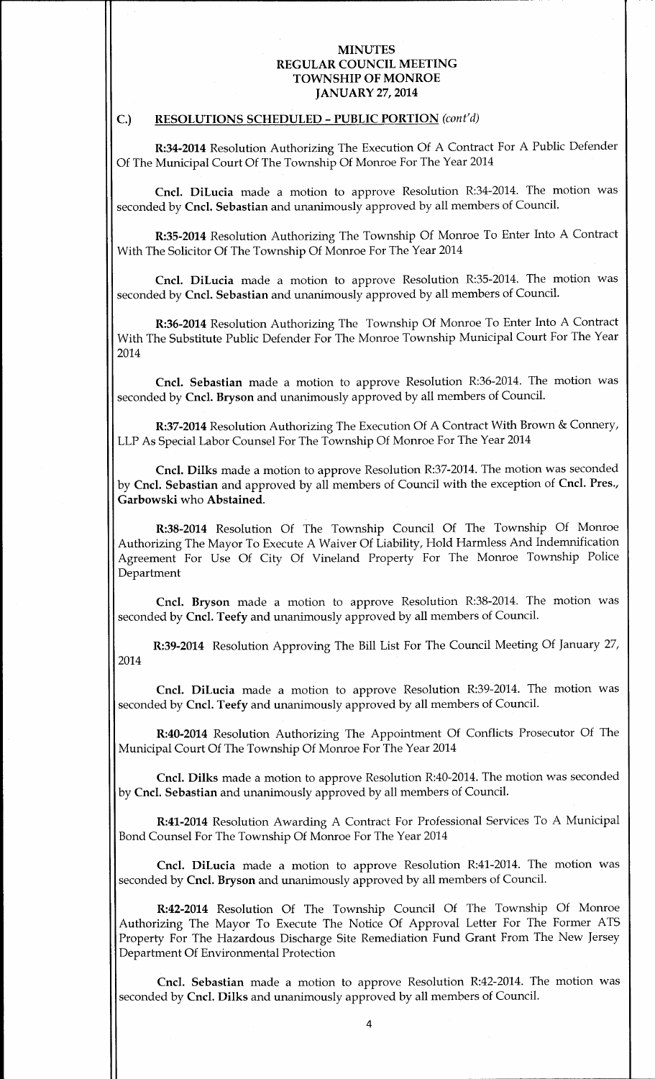#### C.) RESOLUTIONS SCHEDULED - PUBLIC PORTION (cont'd)

R:34-2014 Resolution Authorizing The Execution Of A Contract For A Public Defender Of The Municipal Court Of The Township Of Monroe For The Year 2014

Cncl. DiLucia made a motion to approve Resolution R:34-2014. The motion was seconded by Cncl. Sebastian and unanimously approved by all members of Council.

R:35- 2014 Resolution Authorizing The Township Of Monroe To Enter Into A Contract With The Solicitor Of The Township Of Monroe For The Year 2014

Cncl. DiLucia made a motion to approve Resolution R:35-2014. The motion was seconded by Cncl. Sebastian and unanimously approved by all members of Council.

R:36-2014 Resolution Authorizing The Township Of Monroe To Enter Into A Contract With The Substitute Public Defender For The Monroe Township Municipal Court For The Year 2014

Cncl. Sebastian made a motion to approve Resolution R:36-2014. The motion was seconded by Cncl. Bryson and unanimously approved by all members of Council.

R:37-2014 Resolution Authorizing The Execution Of A Contract With Brown& Connery, LLP As Special Labor Counsel For The Township Of Monroe For The Year 2014

Cncl. Dilks made a motion to approve Resolution R:37-2014. The motion was seconded by Cncl. Sebastian and approved by all members of Council with the exception of Cncl. Pres., Garbowski who Abstained.

R:38-2014 Resolution Of The Township Council Of The Township Of Monroe Authorizing The Mayor To Execute A Waiver Of Liability, Hold Harmless And Indemnification Agreement For Use Of City Of Vineland Property For The Monroe Township Police Department

Cncl. Bryson made a motion to approve Resolution R:38-2014. The motion was seconded by Cncl. Teefy and unanimously approved by all members of Council.

R:39-2014 Resolution Approving The Bill List For The Council Meeting Of January 27, 2014

Cncl. DiLucia made a motion to approve Resolution R:39-2014. The motion was seconded by Cncl. Teefy and unanimously approved by all members of Council.

R:40-2014 Resolution Authorizing The Appointment Of Conflicts Prosecutor Of The Municipal Court Of The Township Of Monroe For The Year 2014

Cncl. Dilks made <sup>a</sup> motion to approve Resolution R:40-2014. The motion was seconded by Cncl. Sebastian and unanimously approved by all members of Council.

R:41-2014 Resolution Awarding A Contract For Professional Services To A Municipal Bond Counsel For The Township Of Monroe For The Year 2014

Cncl. DiLucia made a motion to approve Resolution R:41-2014. The motion was seconded by Cncl. Bryson and unanimously approved by all members of Council.

R:42-2014 Resolution Of The Township Council Of The Township Of Monroe Authorizing The Mayor To Execute The Notice Of Approval Letter For The Former ATS Property For The Hazardous Discharge Site Remediation Fund Grant From The New Jersey Department Of Environmental Protection

Cncl. Sebastian made a motion to approve Resolution R:42-2014. The motion was seconded by Cncl. Dilks and unanimously approved by all members of Council.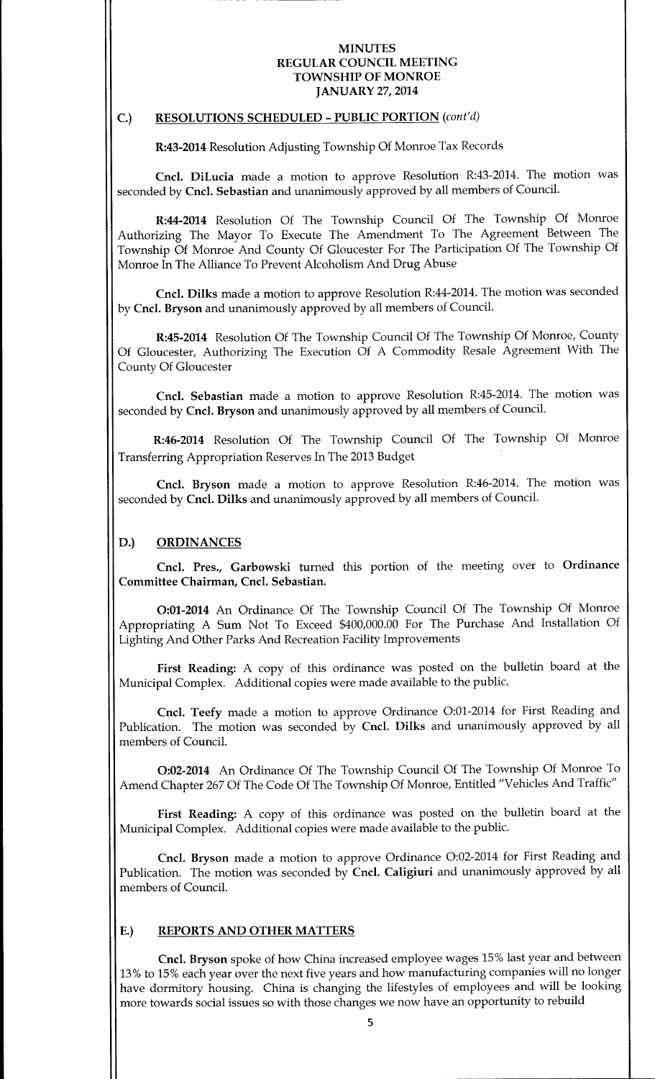# C.) RESOLUTIONS SCHEDULED - PUBLIC PORTION (cont'd)

R:43-2014 Resolution Adjusting Township Of Monroe Tax Records

Cncl. DiLucia made a motion to approve Resolution R:43-2014. The motion was seconded by Cncl. Sebastian and unanimously approved by all members of Council.

R:44- 2014 Resolution Of The Township Council Of The Township Of Monroe Authorizing The Mayor To Execute The Amendment To The Agreement Between The Township Of Monroe And County Of Gloucester For The Participation Of The Township Of Monroe In The Alliance To Prevent Alcoholism And Drug Abuse

Cncl. Dilks made <sup>a</sup> motion to approve Resolution R:44- 2014. The motion was seconded by Cncl. Bryson and unanimously approved by all members of Council.

R:45-2014 Resolution Of The Township Council Of The Township Of Monroe, County Of Gloucester, Authorizing The Execution Of A Commodity Resale Agreement With The County Of Gloucester

Cncl. Sebastian made a motion to approve Resolution R:45-2014. The motion was seconded by Cncl. Bryson and unanimously approved by all members of Council.

R:46-2014 Resolution Of The Township Council Of The Township Of Monroe Transferring Appropriation Reserves In The 2013 Budget

Cncl. Bryson made a motion to approve Resolution R:46-2014. The motion was seconded by Cncl. Dilks and unanimously approved by all members of Council.

## D.) ORDINANCES

Cncl. Pres., Garbowski turned this portion of the meeting over to Ordinance Committee Chairman, Cncl. Sebastian.

0:01- <sup>2014</sup> An Ordinance Of The Township Council Of The Township Of Monroe Appropriating A Sum Not To Exceed \$400,000.00 For The Purchase And Installation Of Lighting And Other Parks And Recreation Facility Improvements

First Reading: A copy of this ordinance was posted on the bulletin board at the Municipal Complex. Additional copies were made available to the public.

Cncl. Teefy made a motion to approve Ordinance O:01-2014 for First Reading and Publication. The motion was seconded by Cncl. Dilks and unanimously approved by all members of Council.

0:02-2014 An Ordinance Of The Township Council Of The Township Of Monroe To Amend Chapter 267 Of The Code Of The Township Of Monroe, Entitled "Vehicles And Traffic"

First Reading: A copy of this ordinance was posted on the bulletin board at the Municipal Complex. Additional copies were made available to the public.

Cncl. Bryson made a motion to approve Ordinance O:02-2014 for First Reading and Publication. The motion was seconded by Cncl. Caligiuri and unanimously approved by all members of Council.

# E.) REPORTS AND OTHER MATTERS

Cncl. Bryson spoke of how China increased employee wages 15% last year and between 13% to 15% each year over the next five years and how manufacturing companies will no longer have dormitory housing. China is changing the lifestyles of employees and will be looking more towards social issues so with those changes we now have an opportunity to rebuild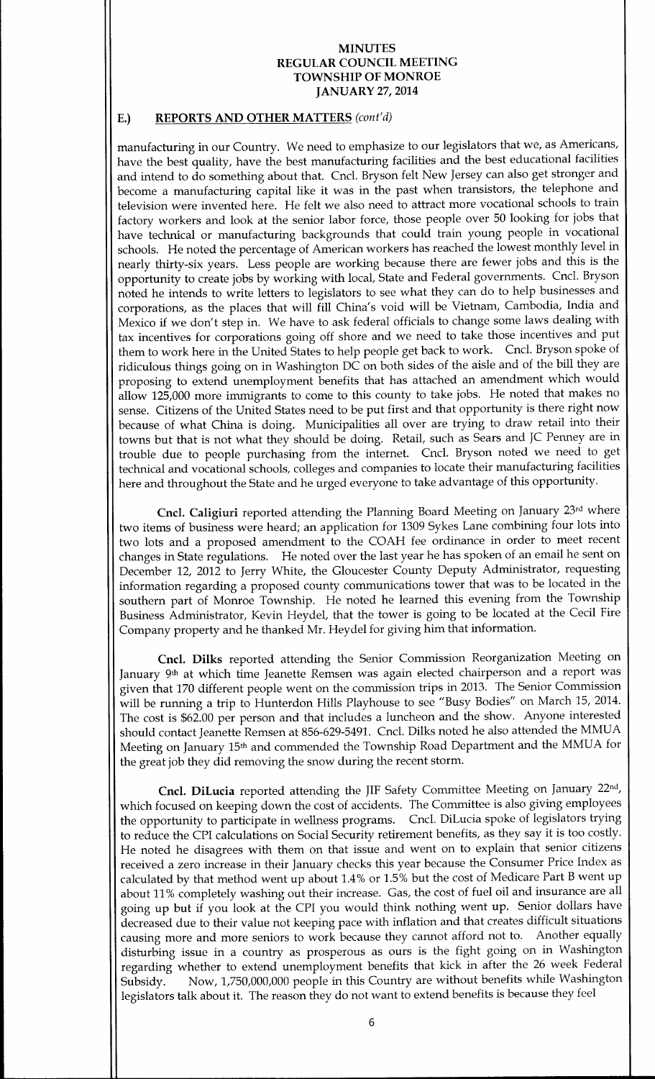# E.) REPORTS AND OTHER MATTERS (cont'd)

manufacturing in our Country. We need to emphasize to our legislators that we, as Americans, have the best quality, have the best manufacturing facilities and the best educational facilities and intend to do something about that. Cncl. Bryson felt New Jersey can also get stronger and become <sup>a</sup> manufacturing capital like it was in the past when transistors, the telephone and television were invented here. He felt we also need to attract more vocational schools to train factory workers and look at the senior labor force, those people over 50 looking for jobs that have technical or manufacturing backgrounds that could train young people in vocational schools. He noted the percentage of American workers has reached the lowest monthly level in nearly thirty-six years. Less people are working because there are fewer jobs and this is the opportunity to create jobs by working with local, State and Federal governments. Cncl. Bryson noted he intends to write letters to legislators to see what they can do to help businesses and corporations, as the places that will fill China's void will be Vietnam, Cambodia, India and Mexico if we don't step in. We have to ask federal officials to change some laws dealing with tax incentives for corporations going off shore and we need to take those incentives and put them to work here in the United States to help people get back to work. Cncl. Bryson spoke of ridiculous things going on in Washington DC on both sides of the aisle and of the bill they are proposing to extend unemployment benefits that has attached an amendment which would allow 125, <sup>000</sup> more immigrants to come to this county to take jobs. He noted that makes no sense. Citizens of the United States need to be put first and that opportunity is there right now because of what China is doing. Municipalities all over are trying to draw retail into their towns but that is not what they should be doing. Retail, such as Sears and JC Penney are in trouble due to people purchasing from the internet. Cncl. Bryson noted we need to get technical and vocational schools, colleges and companies to locate their manufacturing facilities here and throughout the State and he urged everyone to take advantage of this opportunity.

Cncl. Caligiuri reported attending the Planning Board Meeting on January 23rd where two items of business were heard; an application for 1309 Sykes Lane combining four lots into two lots and <sup>a</sup> proposed amendment to the COAH fee ordinance in order to meet recent changes in State regulations. He noted over the last year he has spoken of an email he sent on December 12, 2012 to Jerry White, the Gloucester County Deputy Administrator, requesting information regarding a proposed county communications tower that was to be located in the southern part of Monroe Township. He noted he learned this evening from the Township Business Administrator, Kevin Heydel, that the tower is going to be located at the Cecil Fire Company property and he thanked Mr. Heydel for giving him that information.

Cncl. Dilks reported attending the Senior Commission Reorganization Meeting on January 9<sup>th</sup> at which time Jeanette Remsen was again elected chairperson and a report was given that 170 different people went on the commission trips in 2013. The Senior Commission will be running <sup>a</sup> trip to Hunterdon Hills Playhouse to see " Busy Bodies" on March 15, 2014. The cost is \$62.00 per person and that includes a luncheon and the show. Anyone interested should contact Jeanette Remsen at 856-629-5491. Cncl. Dilks noted he also attended the MMUA Meeting on January 15th and commended the Township Road Department and the MMUA for the great job they did removing the snow during the recent storm.

Cncl. DiLucia reported attending the JIF Safety Committee Meeting on January 22nd, which focused on keeping down the cost of accidents. The Committee is also giving employees the opportunity to participate in wellness programs. Cncl. DiLucia spoke of legislators trying to reduce the CPI calculations on Social Security retirement benefits, as they say it is too costly. He noted he disagrees with them on that issue and went on to explain that senior citizens received a zero increase in their January checks this year because the Consumer Price Index as calculated by that method went up about 1.4% or 1.5% but the cost of Medicare Part B went up about 11% completely washing out their increase. Gas, the cost of fuel oil and insurance are all going up but if you look at the CPI you would think nothing went up. Senior dollars have decreased due to their value not keeping pace with inflation and that creates difficult situations causing more and more seniors to work because they cannot afford not to. Another equally disturbing issue in a country as prosperous as ours is the fight going on in Washington regarding whether to extend unemployment benefits that kick in after the 26 week Federal Subsidy. Now, 1,750,000,000 people in this Country are without benefits while Washington legislators talk about it. The reason they do not want to extend benefits is because they feel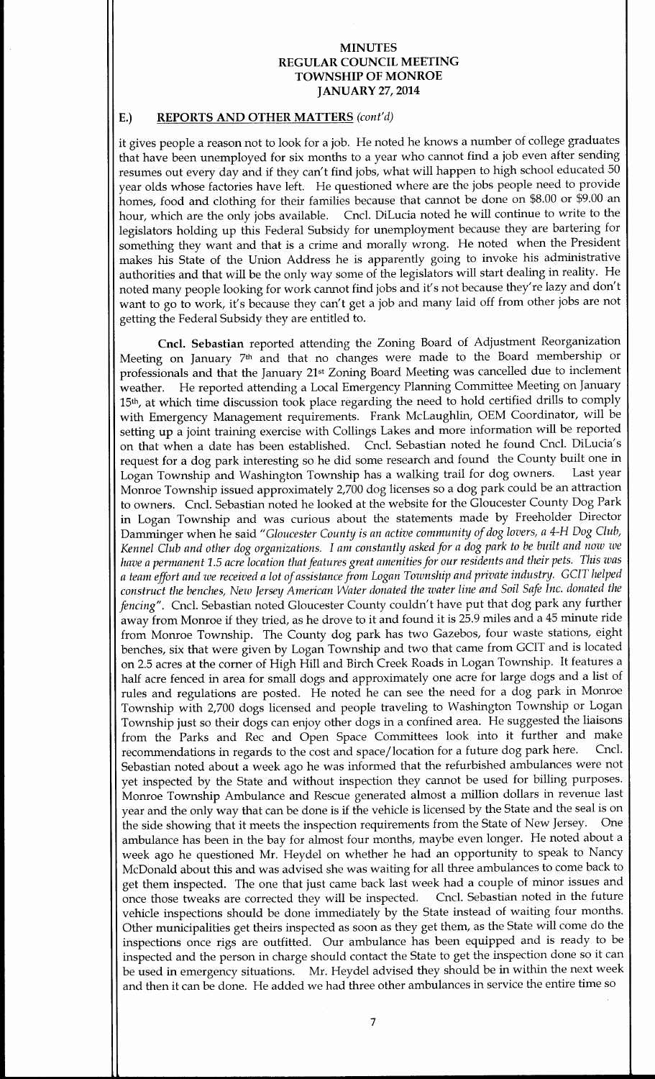# E.) REPORTS AND OTHER MATTERS (cont'd)

it gives people <sup>a</sup> reason not to look for <sup>a</sup> job. He noted he knows <sup>a</sup> number of college graduates that have been unemployed for six months to <sup>a</sup> year who cannot find a job even after sending resumes out every day and if they can't find jobs, what will happen to high school educated 50 year olds whose factories have left. He questioned where are the jobs people need to provide homes, food and clothing for their families because that cannot be done on \$8.00 or \$9.00 an hour, which are the only jobs available. Cncl. DiLucia noted he will continue to write to the legislators holding up this Federal Subsidy for unemployment because they are bartering for something they want and that is <sup>a</sup> crime and morally wrong. He noted when the President makes his State of the Union Address he is apparently going to invoke his administrative authorities and that will be the only way some of the legislators will start dealing in reality. He noted many people looking for work cannot find jobs and it's not because they're lazy and don't want to go to work, it's because they can't get a job and many laid off from other jobs are not getting the Federal Subsidy they are entitled to.

Cncl. Sebastian reported attending the Zoning Board of Adjustment Reorganization Meeting on January 7th and that no changes were made to the Board membership or professionals and that the January 21st Zoning Board Meeting was cancelled due to inclement weather. He reported attending <sup>a</sup> Local Emergency Planning Committee Meeting on January 15th, at which time discussion took place regarding the need to hold certified drills to comply with Emergency Management requirements. Frank McLaughlin, OEM Coordinator, will be setting up <sup>a</sup> joint training exercise with Collings Lakes and more information will be reported on that when a date has been established. Cncl. Sebastian noted he found Cncl. DiLucia's request for a dog park interesting so he did some research and found the County built one in<br>Logan Township and Washington Township has a walking trail for dog owners. Last year Logan Township and Washington Township has a walking trail for dog owners. Monroe Township issued approximately 2,700 dog licenses so a dog park could be an attraction to owners. Cncl. Sebastian noted he looked at the website for the Gloucester County Dog Park in Logan Township and was curious about the statements made by Freeholder Director Damminger when he said "Gloucester County is an active community of dog lovers, a 4-H Dog Club, Kennel Club and other dog organizations. I am constantly asked for <sup>a</sup> dog park to be built and now we have a permanent 1.5 acre location that features great amenities for our residents and their pets. This was <sup>a</sup> team effort and we received <sup>a</sup> lot ofassistance from Logan Township and private industry. GCIT helped construct the benches, New Jersey American Water donated the water line and Soil Safe Inc. donated the fencing". Cncl. Sebastian noted Gloucester County couldn't have put that dog park any further away from Monroe if they tried, as he drove to it and found it is 25.9 miles and a 45 minute ride from Monroe Township. The County dog park has two Gazebos, four waste stations, eight benches, six that were given by Logan Township and two that came from GCIT and is located on 2.<sup>5</sup> acres at the corner of High Hill and Birch Creek Roads in Logan Township. It features <sup>a</sup> half acre fenced in area for small dogs and approximately one acre for large dogs and a list of rules and regulations are posted. He noted he can see the need for a dog park in Monroe Township with 2,700 dogs licensed and people traveling to Washington Township or Logan Township just so their dogs can enjoy other dogs in a confined area. He suggested the liaisons from the Parks and Rec and Open Space Committees look into it further and make<br>recommendations in regards to the cost and space/location for a future dog park here. Cncl. recommendations in regards to the cost and space/location for a future dog park here. Sebastian noted about a week ago he was informed that the refurbished ambulances were not yet inspected by the State and without inspection they cannot be used for billing purposes. Monroe Township Ambulance and Rescue generated almost <sup>a</sup> million dollars in revenue last year and the only way that can be done is if the vehicle is licensed by the State and the seal is on the side showing that it meets the inspection requirements from the State of New Jersey. One ambulance has been in the bay for almost four months, maybe even longer. He noted about <sup>a</sup> week ago he questioned Mr. Heydel on whether he had an opportunity to speak to Nancy McDonald about this and was advised she was waiting for all three ambulances to come back to get them inspected. The one that just came back last week had a couple of minor issues and once those tweaks are corrected they will be inspected. Cncl. Sebastian noted in the future vehicle inspections should be done immediately by the State instead of waiting four months. Other municipalities get theirs inspected as soon as they get them, as the State will come do the inspections once rigs are outfitted. Our ambulance has been equipped and is ready to be inspected and the person in charge should contact the State to get the inspection done so it can be used in emergency situations. Mr. Heydel advised they should be in within the next week and then it can be done. He added we had three other ambulances in service the entire time so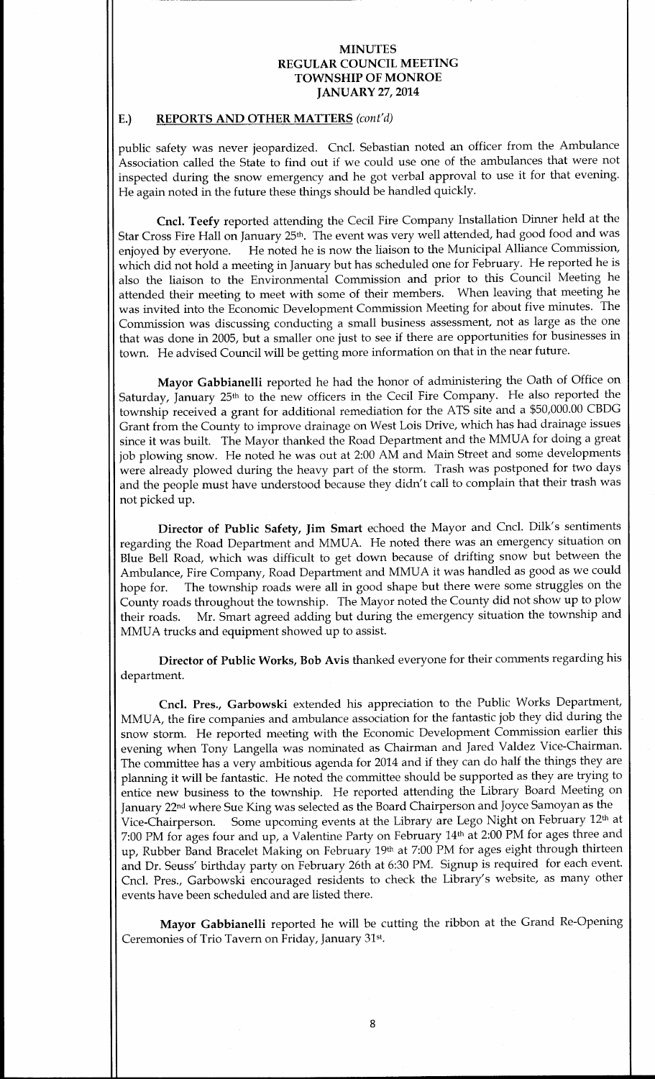#### E.) REPORTS AND OTHER MATTERS (cont'd)

public safety was never jeopardized. Cncl. Sebastian noted an officer from the Ambulance Association called the State to find out if we could use one of the ambulances that were not inspected during the snow emergency and he got verbal approval to use it for that evening. He again noted in the future these things should be handled quickly.

Cncl. Teefy reported attending the Cecil Fire Company Installation Dinner held at the Star Cross Fire Hall on January 25<sup>th</sup>. The event was very well attended, had good food and was enjoyed by everyone. He noted he is now the liaison to the Municipal Alliance Commission, He noted he is now the liaison to the Municipal Alliance Commission, which did not hold a meeting in January but has scheduled one for February. He reported he is also the liaison to the Environmental Commission and prior to this Council Meeting he attended their meeting to meet with some of their members. When leaving that meeting he was invited into the Economic Development Commission Meeting for about five minutes. The Commission was discussing conducting a small business assessment, not as large as the one that was done in 2005, but <sup>a</sup> smaller one just to see if there are opportunities for businesses in town. He advised Council will be getting more information on that in the near future.

Mayor Gabbianelli reported he had the honor of administering the Oath of Office on Saturday, January 25th to the new officers in the Cecil Fire Company. He also reported the township received a grant for additional remediation for the ATS site and a \$50,000.00 CBDG Grant from the County to improve drainage on West Lois Drive, which has had drainage issues since it was built. The Mayor thanked the Road Department and the MMUA for doing <sup>a</sup> great job plowing snow. He noted he was out at 2:00 AM and Main Street and some developments were already plowed during the heavy part of the storm. Trash was postponed for two days and the people must have understood because they didn't call to complain that their trash was not picked up.

Director of Public Safety, Jim Smart echoed the Mayor and Cncl. Dilk's sentiments regarding the Road Department and MMUA. He noted there was an emergency situation on Blue Bell Road, which was difficult to get down because of drifting snow but between the Ambulance, Fire Company, Road Department and MMUA it was handled as good as we could hope for. The township roads were all in good shape but there were some struggles on the The township roads were all in good shape but there were some struggles on the County roads throughout the township. The Mayor noted the County did not show up to plow their roads. Mr. Smart agreed adding but during the emergency situation the township and MMUA trucks and equipment showed up to assist.

Director of Public Works, Bob Avis thanked everyone for their comments regarding his department.

Cncl. Pres., Garbowski extended his appreciation to the Public Works Department, MMUA, the fire companies and ambulance association for the fantastic job they did during the snow storm. He reported meeting with the Economic Development Commission earlier this evening when Tony Langella was nominated as Chairman and Jared Valdez Vice-Chairman. The committee has <sup>a</sup> very ambitious agenda for 2014 and if they can do half the things they are planning it will be fantastic. He noted the committee should be supported as they are trying to entice new business to the township. He reported attending the Library Board Meeting on January 22<sup>nd</sup> where Sue King was selected as the Board Chairperson and Joyce Samoyan as the Vice-Chairperson. Some upcoming events at the Library are Lego Night on February 12<sup>th</sup> a Some upcoming events at the Library are Lego Night on February 12<sup>th</sup> at 7:00 PM for ages four and up, <sup>a</sup> Valentine Party on February 14th at 2:00 PM for ages three and up, Rubber Band Bracelet Making on February 19th at 7:00 PM for ages eight through thirteen and Dr. Seuss' birthday party on February 26th at 6:30 PM. Signup is required for each event. Cncl. Pres., Garbowski encouraged residents to check the Library's website, as many other events have been scheduled and are listed there.

Mayor Gabbianelli reported he will be cutting the ribbon at the Grand Re-Opening Ceremonies of Trio Tavern on Friday, January 31st.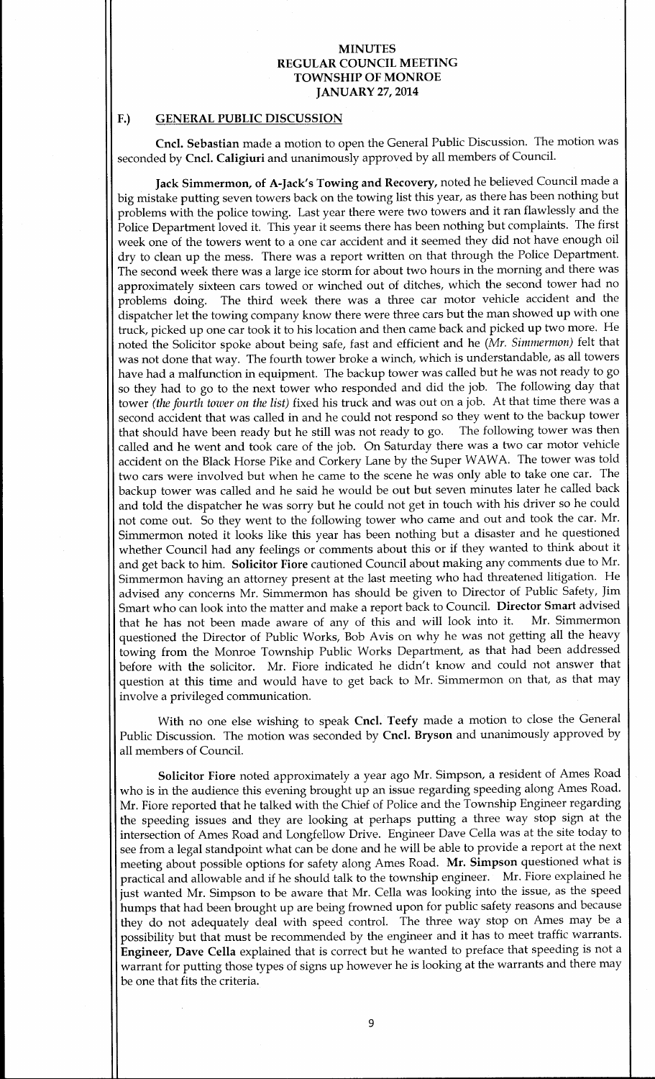#### F.) GENERAL PUBLIC DISCUSSION

Cncl. Sebastian made a motion to open the General Public Discussion. The motion was seconded by Cncl. Caligiuri and unanimously approved by all members of Council.

Jack Simmermon, of A-Jack's Towing and Recovery, noted he believed Council made a big mistake putting seven towers back on the towing list this year, as there has been nothing but problems with the police towing. Last year there were two towers and it ran flawlessly and the Police Department loved it. This year it seems there has been nothing but complaints. The first week one of the towers went to <sup>a</sup> one car accident and it seemed they did not have enough oil dry to clean up the mess. There was <sup>a</sup> report written on that through the Police Department. The second week there was <sup>a</sup> large ice storm for about two hours in the morning and there was approximately sixteen cars towed or winched out of ditches, which the second tower had no problems doing. The third week there was <sup>a</sup> three car motor vehicle accident and the dispatcher let the towing company know there were three cars but the man showed up with one truck, picked up one car took it to his location and then came back and picked up two more. He noted the Solicitor spoke about being safe, fast and efficient and he (Mr. Simmermon) felt that was not done that way. The fourth tower broke <sup>a</sup> winch, which is understandable, as all towers have had a malfunction in equipment. The backup tower was called but he was not ready to go so they had to go to the next tower who responded and did the job. The following day that tower (the fourth tower on the list) fixed his truck and was out on a job. At that time there was a second accident that was called in and he could not respond so they went to the backup tower that should have been ready but he still was not ready to go. The following tower was then called and he went and took care of the job. On Saturday there was <sup>a</sup> two car motor vehicle accident on the Black Horse Pike and Corkery Lane by the Super WAWA. The tower was told two cars were involved but when he came to the scene he was only able to take one car. The backup tower was called and he said he would be out but seven minutes later he called back and told the dispatcher he was sorry but he could not get in touch with his driver so he could not come out. So they went to the following tower who came and out and took the car. Mr. Simmermon noted it looks like this year has been nothing but <sup>a</sup> disaster and he questioned whether Council had any feelings or comments about this or if they wanted to think about it and get back to him. Solicitor Fiore cautioned Council about making any comments due to Mr. Simmermon having an attorney present at the last meeting who had threatened litigation. He advised any concerns Mr. Simmermon has should be given to Director of Public Safety, Jim Smart who can look into the matter and make a report back to Council. Director Smart advised that he has not been made aware of any of this and will look into it. Mr. Simmermon that he has not been made aware of any of this and will look into it. questioned the Director of Public Works, Bob Avis on why he was not getting all the heavy towing from the Monroe Township Public Works Department, as that had been addressed before with the solicitor. Mr. Fiore indicated he didn't know and could not answer that question at this time and would have to get back to Mr. Simmermon on that, as that may involve a privileged communication.

With no one else wishing to speak Cncl. Teefy made a motion to close the General Public Discussion. The motion was seconded by Cncl. Bryson and unanimously approved by all members of Council.

Solicitor Fiore noted approximately a year ago Mr. Simpson, a resident of Ames Road who is in the audience this evening brought up an issue regarding speeding along Ames Road. Mr. Fiore reported that he talked with the Chief of Police and the Township Engineer regarding the speeding issues and they are looking at perhaps putting a three way stop sign at the intersection of Ames Road and Longfellow Drive. Engineer Dave Cella was at the site today to see from <sup>a</sup> legal standpoint what can be done and he will be able to provide <sup>a</sup> report at the next meeting about possible options for safety along Ames Road. Mr. Simpson questioned what is practical and allowable and if he should talk to the township engineer. Mr. Fiore explained he just wanted Mr. Simpson to be aware that Mr. Cella was looking into the issue, as the speed humps that had been brought up are being frowned upon for public safety reasons and because they do not adequately deal with speed control. The three way stop on Ames may be <sup>a</sup> possibility but that must be recommended by the engineer and it has to meet traffic warrants. Engineer, Dave Cella explained that is correct but he wanted to preface that speeding is not a warrant for putting those types of signs up however he is looking at the warrants and there may be one that fits the criteria.